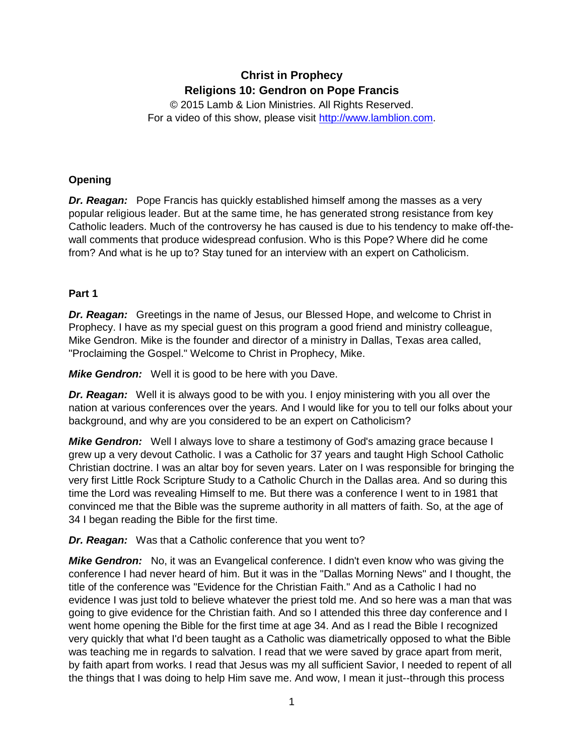# **Christ in Prophecy Religions 10: Gendron on Pope Francis**

© 2015 Lamb & Lion Ministries. All Rights Reserved. For a video of this show, please visit [http://www.lamblion.com.](http://www.lamblion.com/)

## **Opening**

*Dr. Reagan:* Pope Francis has quickly established himself among the masses as a very popular religious leader. But at the same time, he has generated strong resistance from key Catholic leaders. Much of the controversy he has caused is due to his tendency to make off-thewall comments that produce widespread confusion. Who is this Pope? Where did he come from? And what is he up to? Stay tuned for an interview with an expert on Catholicism.

#### **Part 1**

*Dr. Reagan:* Greetings in the name of Jesus, our Blessed Hope, and welcome to Christ in Prophecy. I have as my special guest on this program a good friend and ministry colleague, Mike Gendron. Mike is the founder and director of a ministry in Dallas, Texas area called, "Proclaiming the Gospel." Welcome to Christ in Prophecy, Mike.

*Mike Gendron:* Well it is good to be here with you Dave.

*Dr. Reagan:* Well it is always good to be with you. I enjoy ministering with you all over the nation at various conferences over the years. And I would like for you to tell our folks about your background, and why are you considered to be an expert on Catholicism?

*Mike Gendron:* Well I always love to share a testimony of God's amazing grace because I grew up a very devout Catholic. I was a Catholic for 37 years and taught High School Catholic Christian doctrine. I was an altar boy for seven years. Later on I was responsible for bringing the very first Little Rock Scripture Study to a Catholic Church in the Dallas area. And so during this time the Lord was revealing Himself to me. But there was a conference I went to in 1981 that convinced me that the Bible was the supreme authority in all matters of faith. So, at the age of 34 I began reading the Bible for the first time.

*Dr. Reagan:* Was that a Catholic conference that you went to?

*Mike Gendron:* No, it was an Evangelical conference. I didn't even know who was giving the conference I had never heard of him. But it was in the "Dallas Morning News" and I thought, the title of the conference was "Evidence for the Christian Faith." And as a Catholic I had no evidence I was just told to believe whatever the priest told me. And so here was a man that was going to give evidence for the Christian faith. And so I attended this three day conference and I went home opening the Bible for the first time at age 34. And as I read the Bible I recognized very quickly that what I'd been taught as a Catholic was diametrically opposed to what the Bible was teaching me in regards to salvation. I read that we were saved by grace apart from merit, by faith apart from works. I read that Jesus was my all sufficient Savior, I needed to repent of all the things that I was doing to help Him save me. And wow, I mean it just--through this process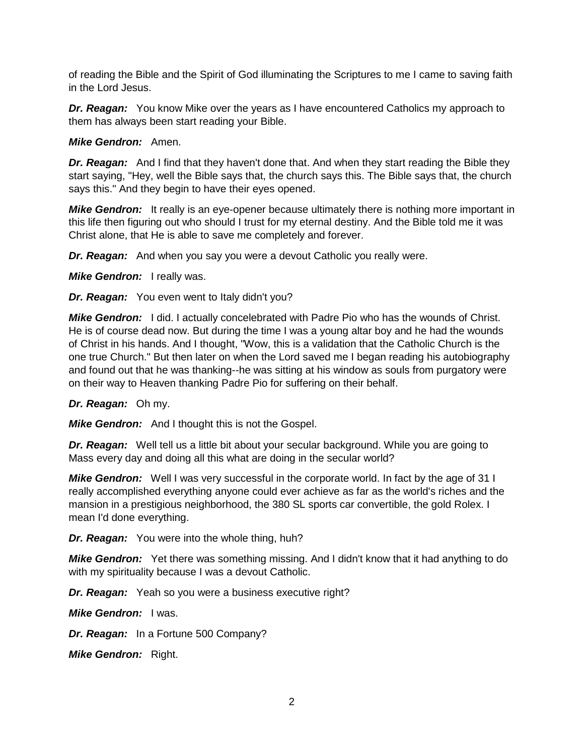of reading the Bible and the Spirit of God illuminating the Scriptures to me I came to saving faith in the Lord Jesus.

*Dr. Reagan:* You know Mike over the years as I have encountered Catholics my approach to them has always been start reading your Bible.

#### *Mike Gendron:* Amen.

**Dr. Reagan:** And I find that they haven't done that. And when they start reading the Bible they start saying, "Hey, well the Bible says that, the church says this. The Bible says that, the church says this." And they begin to have their eyes opened.

**Mike Gendron:** It really is an eye-opener because ultimately there is nothing more important in this life then figuring out who should I trust for my eternal destiny. And the Bible told me it was Christ alone, that He is able to save me completely and forever.

*Dr. Reagan:* And when you say you were a devout Catholic you really were.

*Mike Gendron:* I really was.

*Dr. Reagan:* You even went to Italy didn't you?

*Mike Gendron:* I did. I actually concelebrated with Padre Pio who has the wounds of Christ. He is of course dead now. But during the time I was a young altar boy and he had the wounds of Christ in his hands. And I thought, "Wow, this is a validation that the Catholic Church is the one true Church." But then later on when the Lord saved me I began reading his autobiography and found out that he was thanking--he was sitting at his window as souls from purgatory were on their way to Heaven thanking Padre Pio for suffering on their behalf.

#### *Dr. Reagan:* Oh my.

*Mike Gendron:* And I thought this is not the Gospel.

**Dr. Reagan:** Well tell us a little bit about your secular background. While you are going to Mass every day and doing all this what are doing in the secular world?

*Mike Gendron:* Well I was very successful in the corporate world. In fact by the age of 31 I really accomplished everything anyone could ever achieve as far as the world's riches and the mansion in a prestigious neighborhood, the 380 SL sports car convertible, the gold Rolex. I mean I'd done everything.

*Dr. Reagan:* You were into the whole thing, huh?

*Mike Gendron:* Yet there was something missing. And I didn't know that it had anything to do with my spirituality because I was a devout Catholic.

*Dr. Reagan:* Yeah so you were a business executive right?

*Mike Gendron:* I was.

*Dr. Reagan:* In a Fortune 500 Company?

*Mike Gendron:* Right.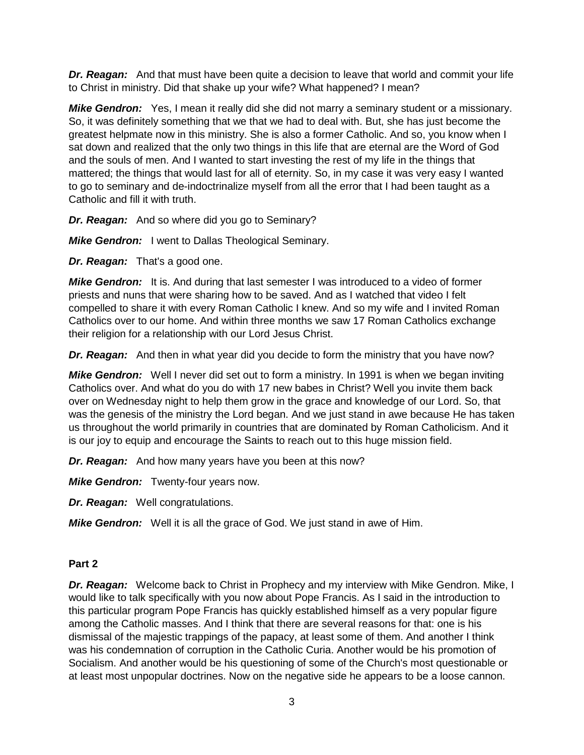*Dr. Reagan:* And that must have been quite a decision to leave that world and commit your life to Christ in ministry. Did that shake up your wife? What happened? I mean?

*Mike Gendron:* Yes, I mean it really did she did not marry a seminary student or a missionary. So, it was definitely something that we that we had to deal with. But, she has just become the greatest helpmate now in this ministry. She is also a former Catholic. And so, you know when I sat down and realized that the only two things in this life that are eternal are the Word of God and the souls of men. And I wanted to start investing the rest of my life in the things that mattered; the things that would last for all of eternity. So, in my case it was very easy I wanted to go to seminary and de-indoctrinalize myself from all the error that I had been taught as a Catholic and fill it with truth.

*Dr. Reagan:* And so where did you go to Seminary?

*Mike Gendron:* I went to Dallas Theological Seminary.

*Dr. Reagan:* That's a good one.

*Mike Gendron:* It is. And during that last semester I was introduced to a video of former priests and nuns that were sharing how to be saved. And as I watched that video I felt compelled to share it with every Roman Catholic I knew. And so my wife and I invited Roman Catholics over to our home. And within three months we saw 17 Roman Catholics exchange their religion for a relationship with our Lord Jesus Christ.

*Dr. Reagan:* And then in what year did you decide to form the ministry that you have now?

*Mike Gendron:* Well I never did set out to form a ministry. In 1991 is when we began inviting Catholics over. And what do you do with 17 new babes in Christ? Well you invite them back over on Wednesday night to help them grow in the grace and knowledge of our Lord. So, that was the genesis of the ministry the Lord began. And we just stand in awe because He has taken us throughout the world primarily in countries that are dominated by Roman Catholicism. And it is our joy to equip and encourage the Saints to reach out to this huge mission field.

*Dr. Reagan:* And how many years have you been at this now?

*Mike Gendron:* Twenty-four years now.

*Dr. Reagan:* Well congratulations.

*Mike Gendron:* Well it is all the grace of God. We just stand in awe of Him.

#### **Part 2**

*Dr. Reagan:* Welcome back to Christ in Prophecy and my interview with Mike Gendron. Mike, I would like to talk specifically with you now about Pope Francis. As I said in the introduction to this particular program Pope Francis has quickly established himself as a very popular figure among the Catholic masses. And I think that there are several reasons for that: one is his dismissal of the majestic trappings of the papacy, at least some of them. And another I think was his condemnation of corruption in the Catholic Curia. Another would be his promotion of Socialism. And another would be his questioning of some of the Church's most questionable or at least most unpopular doctrines. Now on the negative side he appears to be a loose cannon.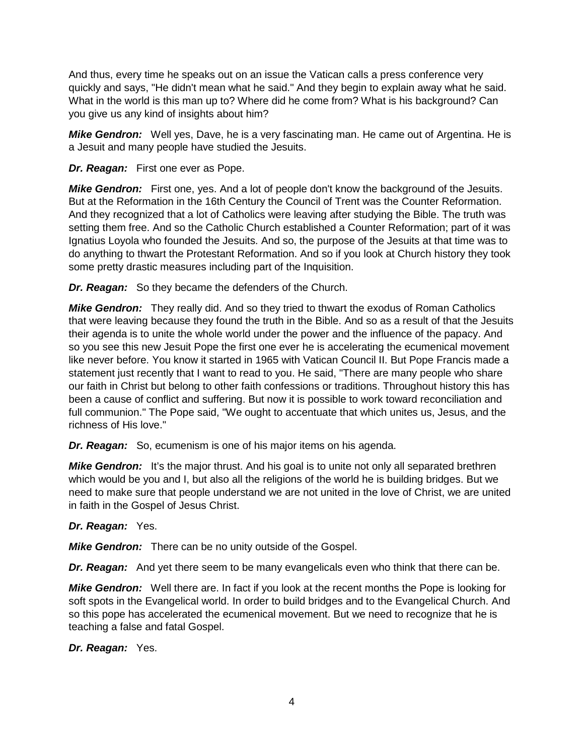And thus, every time he speaks out on an issue the Vatican calls a press conference very quickly and says, "He didn't mean what he said." And they begin to explain away what he said. What in the world is this man up to? Where did he come from? What is his background? Can you give us any kind of insights about him?

*Mike Gendron:* Well yes, Dave, he is a very fascinating man. He came out of Argentina. He is a Jesuit and many people have studied the Jesuits.

### *Dr. Reagan:* First one ever as Pope.

**Mike Gendron:** First one, yes. And a lot of people don't know the background of the Jesuits. But at the Reformation in the 16th Century the Council of Trent was the Counter Reformation. And they recognized that a lot of Catholics were leaving after studying the Bible. The truth was setting them free. And so the Catholic Church established a Counter Reformation; part of it was Ignatius Loyola who founded the Jesuits. And so, the purpose of the Jesuits at that time was to do anything to thwart the Protestant Reformation. And so if you look at Church history they took some pretty drastic measures including part of the Inquisition.

*Dr. Reagan:* So they became the defenders of the Church.

*Mike Gendron:* They really did. And so they tried to thwart the exodus of Roman Catholics that were leaving because they found the truth in the Bible. And so as a result of that the Jesuits their agenda is to unite the whole world under the power and the influence of the papacy. And so you see this new Jesuit Pope the first one ever he is accelerating the ecumenical movement like never before. You know it started in 1965 with Vatican Council II. But Pope Francis made a statement just recently that I want to read to you. He said, "There are many people who share our faith in Christ but belong to other faith confessions or traditions. Throughout history this has been a cause of conflict and suffering. But now it is possible to work toward reconciliation and full communion." The Pope said, "We ought to accentuate that which unites us, Jesus, and the richness of His love."

*Dr. Reagan:* So, ecumenism is one of his major items on his agenda.

*Mike Gendron:* It's the major thrust. And his goal is to unite not only all separated brethren which would be you and I, but also all the religions of the world he is building bridges. But we need to make sure that people understand we are not united in the love of Christ, we are united in faith in the Gospel of Jesus Christ.

# *Dr. Reagan:* Yes.

*Mike Gendron:* There can be no unity outside of the Gospel.

*Dr. Reagan:* And yet there seem to be many evangelicals even who think that there can be.

*Mike Gendron:* Well there are. In fact if you look at the recent months the Pope is looking for soft spots in the Evangelical world. In order to build bridges and to the Evangelical Church. And so this pope has accelerated the ecumenical movement. But we need to recognize that he is teaching a false and fatal Gospel.

*Dr. Reagan:* Yes.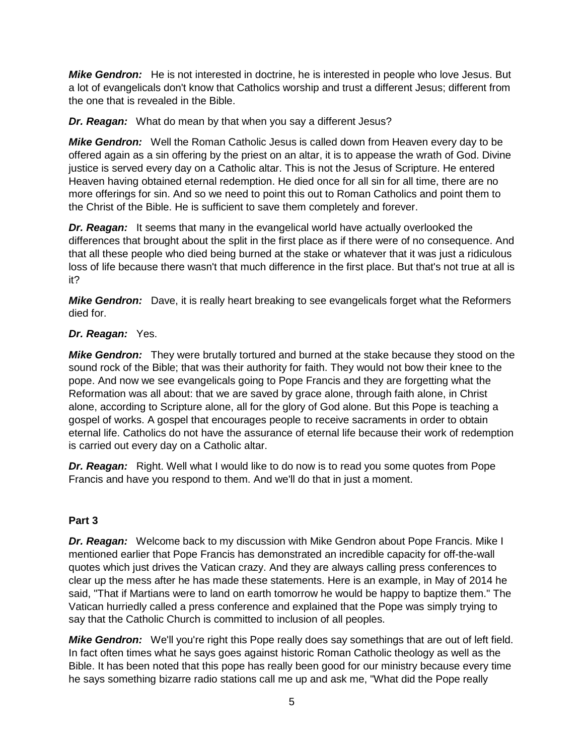*Mike Gendron:* He is not interested in doctrine, he is interested in people who love Jesus. But a lot of evangelicals don't know that Catholics worship and trust a different Jesus; different from the one that is revealed in the Bible.

*Dr. Reagan:* What do mean by that when you say a different Jesus?

*Mike Gendron:* Well the Roman Catholic Jesus is called down from Heaven every day to be offered again as a sin offering by the priest on an altar, it is to appease the wrath of God. Divine justice is served every day on a Catholic altar. This is not the Jesus of Scripture. He entered Heaven having obtained eternal redemption. He died once for all sin for all time, there are no more offerings for sin. And so we need to point this out to Roman Catholics and point them to the Christ of the Bible. He is sufficient to save them completely and forever.

*Dr. Reagan:* It seems that many in the evangelical world have actually overlooked the differences that brought about the split in the first place as if there were of no consequence. And that all these people who died being burned at the stake or whatever that it was just a ridiculous loss of life because there wasn't that much difference in the first place. But that's not true at all is it?

*Mike Gendron:* Dave, it is really heart breaking to see evangelicals forget what the Reformers died for.

# *Dr. Reagan:* Yes.

*Mike Gendron:* They were brutally tortured and burned at the stake because they stood on the sound rock of the Bible; that was their authority for faith. They would not bow their knee to the pope. And now we see evangelicals going to Pope Francis and they are forgetting what the Reformation was all about: that we are saved by grace alone, through faith alone, in Christ alone, according to Scripture alone, all for the glory of God alone. But this Pope is teaching a gospel of works. A gospel that encourages people to receive sacraments in order to obtain eternal life. Catholics do not have the assurance of eternal life because their work of redemption is carried out every day on a Catholic altar.

**Dr. Reagan:** Right. Well what I would like to do now is to read you some quotes from Pope Francis and have you respond to them. And we'll do that in just a moment.

#### **Part 3**

*Dr. Reagan:* Welcome back to my discussion with Mike Gendron about Pope Francis. Mike I mentioned earlier that Pope Francis has demonstrated an incredible capacity for off-the-wall quotes which just drives the Vatican crazy. And they are always calling press conferences to clear up the mess after he has made these statements. Here is an example, in May of 2014 he said, "That if Martians were to land on earth tomorrow he would be happy to baptize them." The Vatican hurriedly called a press conference and explained that the Pope was simply trying to say that the Catholic Church is committed to inclusion of all peoples.

**Mike Gendron:** We'll you're right this Pope really does say somethings that are out of left field. In fact often times what he says goes against historic Roman Catholic theology as well as the Bible. It has been noted that this pope has really been good for our ministry because every time he says something bizarre radio stations call me up and ask me, "What did the Pope really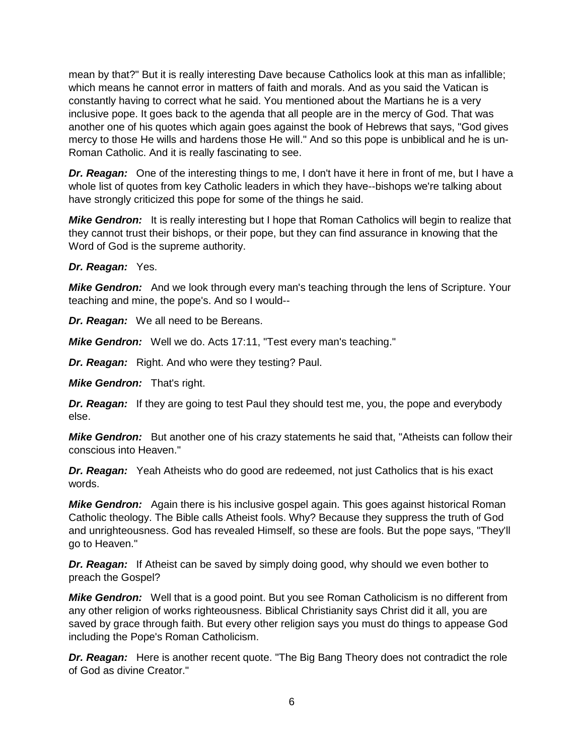mean by that?" But it is really interesting Dave because Catholics look at this man as infallible; which means he cannot error in matters of faith and morals. And as you said the Vatican is constantly having to correct what he said. You mentioned about the Martians he is a very inclusive pope. It goes back to the agenda that all people are in the mercy of God. That was another one of his quotes which again goes against the book of Hebrews that says, "God gives mercy to those He wills and hardens those He will." And so this pope is unbiblical and he is un-Roman Catholic. And it is really fascinating to see.

*Dr. Reagan:* One of the interesting things to me, I don't have it here in front of me, but I have a whole list of quotes from key Catholic leaders in which they have--bishops we're talking about have strongly criticized this pope for some of the things he said.

*Mike Gendron:* It is really interesting but I hope that Roman Catholics will begin to realize that they cannot trust their bishops, or their pope, but they can find assurance in knowing that the Word of God is the supreme authority.

#### *Dr. Reagan:* Yes.

*Mike Gendron:* And we look through every man's teaching through the lens of Scripture. Your teaching and mine, the pope's. And so I would--

*Dr. Reagan:* We all need to be Bereans.

*Mike Gendron:* Well we do. Acts 17:11, "Test every man's teaching."

*Dr. Reagan:* Right. And who were they testing? Paul.

*Mike Gendron:* That's right.

*Dr. Reagan:* If they are going to test Paul they should test me, you, the pope and everybody else.

*Mike Gendron:* But another one of his crazy statements he said that, "Atheists can follow their conscious into Heaven."

**Dr. Reagan:** Yeah Atheists who do good are redeemed, not just Catholics that is his exact words.

*Mike Gendron:* Again there is his inclusive gospel again. This goes against historical Roman Catholic theology. The Bible calls Atheist fools. Why? Because they suppress the truth of God and unrighteousness. God has revealed Himself, so these are fools. But the pope says, "They'll go to Heaven."

*Dr. Reagan:* If Atheist can be saved by simply doing good, why should we even bother to preach the Gospel?

**Mike Gendron:** Well that is a good point. But you see Roman Catholicism is no different from any other religion of works righteousness. Biblical Christianity says Christ did it all, you are saved by grace through faith. But every other religion says you must do things to appease God including the Pope's Roman Catholicism.

**Dr. Reagan:** Here is another recent quote. "The Big Bang Theory does not contradict the role of God as divine Creator."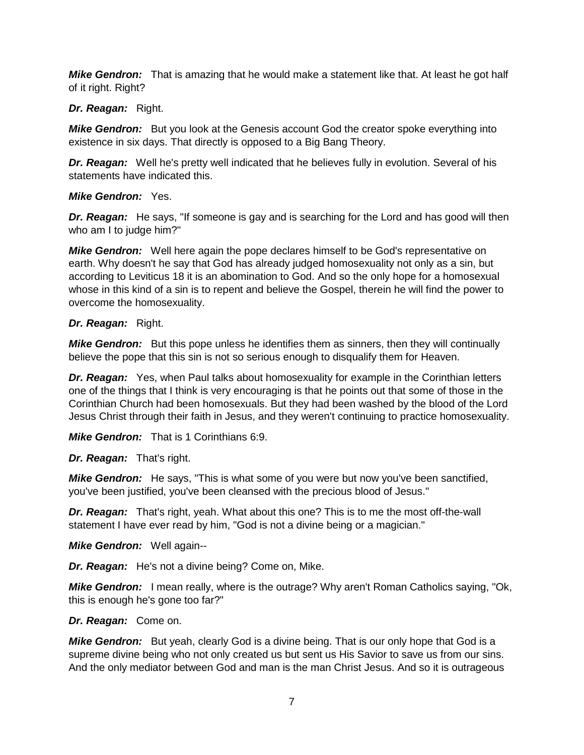*Mike Gendron:* That is amazing that he would make a statement like that. At least he got half of it right. Right?

## *Dr. Reagan:* Right.

*Mike Gendron:* But you look at the Genesis account God the creator spoke everything into existence in six days. That directly is opposed to a Big Bang Theory.

*Dr. Reagan:* Well he's pretty well indicated that he believes fully in evolution. Several of his statements have indicated this.

## *Mike Gendron:* Yes.

*Dr. Reagan:* He says, "If someone is gay and is searching for the Lord and has good will then who am I to judge him?"

*Mike Gendron:* Well here again the pope declares himself to be God's representative on earth. Why doesn't he say that God has already judged homosexuality not only as a sin, but according to Leviticus 18 it is an abomination to God. And so the only hope for a homosexual whose in this kind of a sin is to repent and believe the Gospel, therein he will find the power to overcome the homosexuality.

## *Dr. Reagan:* Right.

*Mike Gendron:* But this pope unless he identifies them as sinners, then they will continually believe the pope that this sin is not so serious enough to disqualify them for Heaven.

*Dr. Reagan:* Yes, when Paul talks about homosexuality for example in the Corinthian letters one of the things that I think is very encouraging is that he points out that some of those in the Corinthian Church had been homosexuals. But they had been washed by the blood of the Lord Jesus Christ through their faith in Jesus, and they weren't continuing to practice homosexuality.

*Mike Gendron:* That is 1 Corinthians 6:9.

*Dr. Reagan:* That's right.

*Mike Gendron:* He says, "This is what some of you were but now you've been sanctified, you've been justified, you've been cleansed with the precious blood of Jesus."

*Dr. Reagan:* That's right, yeah. What about this one? This is to me the most off-the-wall statement I have ever read by him, "God is not a divine being or a magician."

*Mike Gendron:* Well again--

*Dr. Reagan:* He's not a divine being? Come on, Mike.

**Mike Gendron:** I mean really, where is the outrage? Why aren't Roman Catholics saying, "Ok, this is enough he's gone too far?"

# *Dr. Reagan:* Come on.

*Mike Gendron:* But yeah, clearly God is a divine being. That is our only hope that God is a supreme divine being who not only created us but sent us His Savior to save us from our sins. And the only mediator between God and man is the man Christ Jesus. And so it is outrageous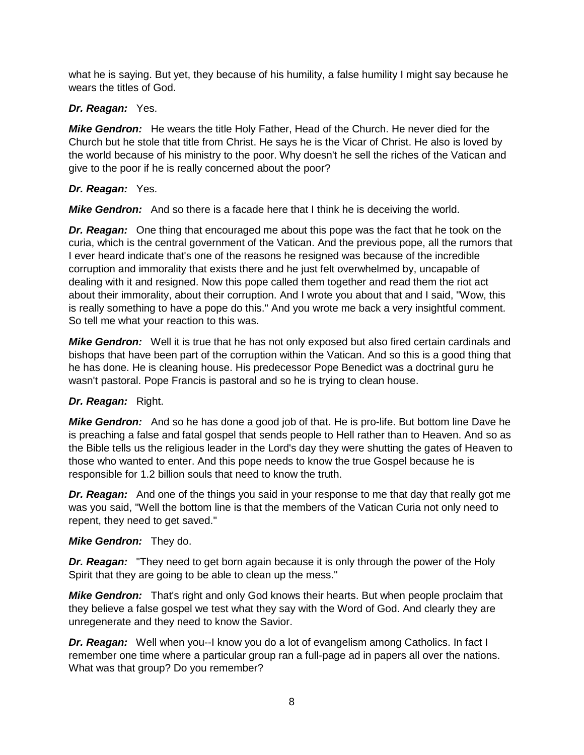what he is saying. But yet, they because of his humility, a false humility I might say because he wears the titles of God.

# *Dr. Reagan:* Yes.

*Mike Gendron:* He wears the title Holy Father, Head of the Church. He never died for the Church but he stole that title from Christ. He says he is the Vicar of Christ. He also is loved by the world because of his ministry to the poor. Why doesn't he sell the riches of the Vatican and give to the poor if he is really concerned about the poor?

## *Dr. Reagan:* Yes.

**Mike Gendron:** And so there is a facade here that I think he is deceiving the world.

*Dr. Reagan:* One thing that encouraged me about this pope was the fact that he took on the curia, which is the central government of the Vatican. And the previous pope, all the rumors that I ever heard indicate that's one of the reasons he resigned was because of the incredible corruption and immorality that exists there and he just felt overwhelmed by, uncapable of dealing with it and resigned. Now this pope called them together and read them the riot act about their immorality, about their corruption. And I wrote you about that and I said, "Wow, this is really something to have a pope do this." And you wrote me back a very insightful comment. So tell me what your reaction to this was.

*Mike Gendron:* Well it is true that he has not only exposed but also fired certain cardinals and bishops that have been part of the corruption within the Vatican. And so this is a good thing that he has done. He is cleaning house. His predecessor Pope Benedict was a doctrinal guru he wasn't pastoral. Pope Francis is pastoral and so he is trying to clean house.

# *Dr. Reagan:* Right.

*Mike Gendron:* And so he has done a good job of that. He is pro-life. But bottom line Dave he is preaching a false and fatal gospel that sends people to Hell rather than to Heaven. And so as the Bible tells us the religious leader in the Lord's day they were shutting the gates of Heaven to those who wanted to enter. And this pope needs to know the true Gospel because he is responsible for 1.2 billion souls that need to know the truth.

*Dr. Reagan:* And one of the things you said in your response to me that day that really got me was you said, "Well the bottom line is that the members of the Vatican Curia not only need to repent, they need to get saved."

#### *Mike Gendron:* They do.

*Dr. Reagan:* "They need to get born again because it is only through the power of the Holy Spirit that they are going to be able to clean up the mess."

*Mike Gendron:* That's right and only God knows their hearts. But when people proclaim that they believe a false gospel we test what they say with the Word of God. And clearly they are unregenerate and they need to know the Savior.

*Dr. Reagan:* Well when you--I know you do a lot of evangelism among Catholics. In fact I remember one time where a particular group ran a full-page ad in papers all over the nations. What was that group? Do you remember?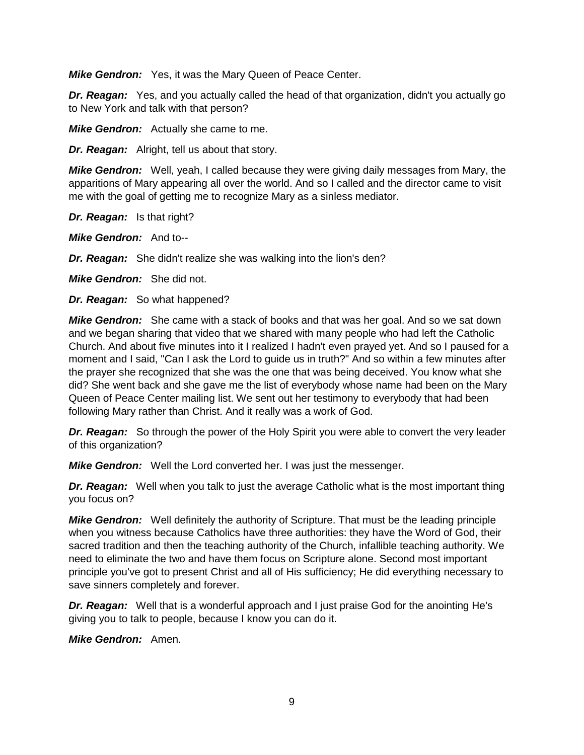*Mike Gendron:* Yes, it was the Mary Queen of Peace Center.

*Dr. Reagan:* Yes, and you actually called the head of that organization, didn't you actually go to New York and talk with that person?

*Mike Gendron:* Actually she came to me.

*Dr. Reagan:* Alright, tell us about that story.

*Mike Gendron:* Well, yeah, I called because they were giving daily messages from Mary, the apparitions of Mary appearing all over the world. And so I called and the director came to visit me with the goal of getting me to recognize Mary as a sinless mediator.

*Dr. Reagan:* Is that right?

*Mike Gendron:* And to--

*Dr. Reagan:* She didn't realize she was walking into the lion's den?

*Mike Gendron:* She did not.

*Dr. Reagan:* So what happened?

*Mike Gendron:* She came with a stack of books and that was her goal. And so we sat down and we began sharing that video that we shared with many people who had left the Catholic Church. And about five minutes into it I realized I hadn't even prayed yet. And so I paused for a moment and I said, "Can I ask the Lord to guide us in truth?" And so within a few minutes after the prayer she recognized that she was the one that was being deceived. You know what she did? She went back and she gave me the list of everybody whose name had been on the Mary Queen of Peace Center mailing list. We sent out her testimony to everybody that had been following Mary rather than Christ. And it really was a work of God.

*Dr. Reagan:* So through the power of the Holy Spirit you were able to convert the very leader of this organization?

*Mike Gendron:* Well the Lord converted her. I was just the messenger.

*Dr. Reagan:* Well when you talk to just the average Catholic what is the most important thing you focus on?

*Mike Gendron:* Well definitely the authority of Scripture. That must be the leading principle when you witness because Catholics have three authorities: they have the Word of God, their sacred tradition and then the teaching authority of the Church, infallible teaching authority. We need to eliminate the two and have them focus on Scripture alone. Second most important principle you've got to present Christ and all of His sufficiency; He did everything necessary to save sinners completely and forever.

*Dr. Reagan:* Well that is a wonderful approach and I just praise God for the anointing He's giving you to talk to people, because I know you can do it.

*Mike Gendron:* Amen.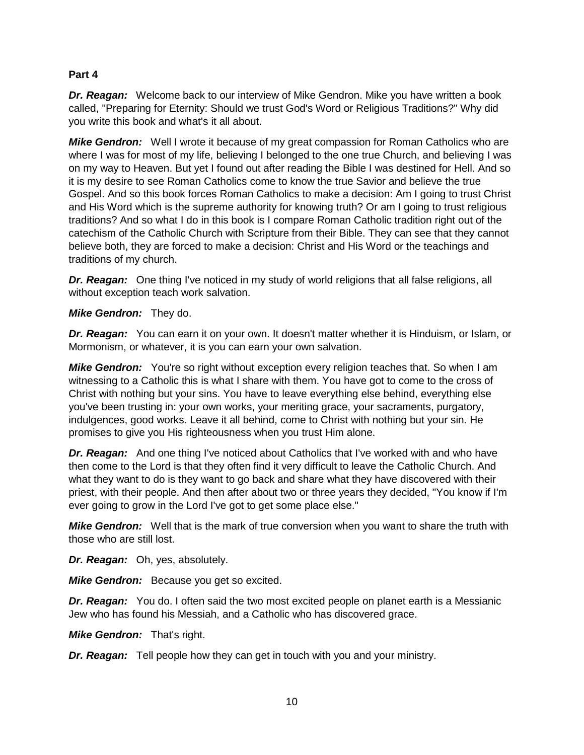#### **Part 4**

*Dr. Reagan:* Welcome back to our interview of Mike Gendron. Mike you have written a book called, "Preparing for Eternity: Should we trust God's Word or Religious Traditions?" Why did you write this book and what's it all about.

*Mike Gendron:* Well I wrote it because of my great compassion for Roman Catholics who are where I was for most of my life, believing I belonged to the one true Church, and believing I was on my way to Heaven. But yet I found out after reading the Bible I was destined for Hell. And so it is my desire to see Roman Catholics come to know the true Savior and believe the true Gospel. And so this book forces Roman Catholics to make a decision: Am I going to trust Christ and His Word which is the supreme authority for knowing truth? Or am I going to trust religious traditions? And so what I do in this book is I compare Roman Catholic tradition right out of the catechism of the Catholic Church with Scripture from their Bible. They can see that they cannot believe both, they are forced to make a decision: Christ and His Word or the teachings and traditions of my church.

*Dr. Reagan:* One thing I've noticed in my study of world religions that all false religions, all without exception teach work salvation.

## *Mike Gendron:* They do.

*Dr. Reagan:* You can earn it on your own. It doesn't matter whether it is Hinduism, or Islam, or Mormonism, or whatever, it is you can earn your own salvation.

*Mike Gendron:* You're so right without exception every religion teaches that. So when I am witnessing to a Catholic this is what I share with them. You have got to come to the cross of Christ with nothing but your sins. You have to leave everything else behind, everything else you've been trusting in: your own works, your meriting grace, your sacraments, purgatory, indulgences, good works. Leave it all behind, come to Christ with nothing but your sin. He promises to give you His righteousness when you trust Him alone.

*Dr. Reagan:* And one thing I've noticed about Catholics that I've worked with and who have then come to the Lord is that they often find it very difficult to leave the Catholic Church. And what they want to do is they want to go back and share what they have discovered with their priest, with their people. And then after about two or three years they decided, "You know if I'm ever going to grow in the Lord I've got to get some place else."

*Mike Gendron:* Well that is the mark of true conversion when you want to share the truth with those who are still lost.

*Dr. Reagan:* Oh, yes, absolutely.

*Mike Gendron:* Because you get so excited.

*Dr. Reagan:* You do. I often said the two most excited people on planet earth is a Messianic Jew who has found his Messiah, and a Catholic who has discovered grace.

*Mike Gendron:* That's right.

*Dr. Reagan:* Tell people how they can get in touch with you and your ministry.